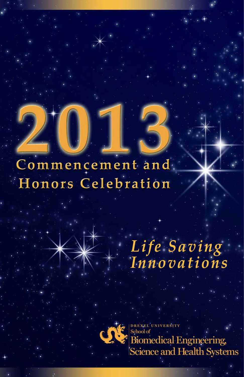# **Commencement and Honors Celebration 2013**

# *Life Saving Innovations*



DREXEL UNIVERSITY School of **Biomedical Engineering,** Science and Health Systems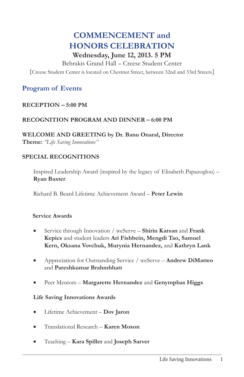## **COMMENCEMENT** and **HONORS CELEBRATION** Wednesday, June 12, 2013. 5 PM

Behrakis Grand Hall - Creese Student Center {Creese Student Center is located on Chestnut Street, between 32nd and 33rd Streets}

#### **Program of Events**

#### $RECEPTION - 5:00 PM$

#### RECOGNITION PROGRAM AND DINNER  $-6.00$  PM

WELCOME AND GREETING by Dr. Banu Onaral, Director Theme: "Life Saving Innovations"

#### **SPECIAL RECOGNITIONS**

Inspired Leadership Award (inspired by the legacy of Elisabeth Papazoglou) – **Ryan Baxter** 

Richard B. Beard Lifetime Achievement Award - Peter Lewin

#### **Service Awards**

- Service through Innovation / weServe Shirin Karsan and Frank Kepics and student leaders Ari Fishbein, Mengdi Tao, Samuel Kern, Oksana Vovchuk, Murynia Hernandez, and Kathryn Lank
- Appreciation for Outstanding Service / weServe Andrew DiMatteo and Pareshkumar Brahmbhatt
- Peer Mentors Margarette Hernandez and Genymphas Higgs  $\bullet$

#### **Life Saving Innovations Awards**

- Lifetime Achievement Dov Jaron  $\bullet$
- Translational Research Karen Moxon  $\bullet$
- Teaching Kara Spiller and Joseph Sarver  $\bullet$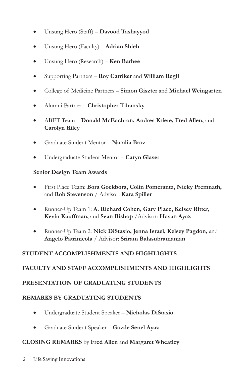- Unsung Hero (Staff) Davood Tashayyod  $\bullet$
- Unsung Hero (Faculty) Adrian Shieh  $\bullet$
- Unsung Hero (Research) Ken Barbee  $\bullet$
- Supporting Partners Roy Carriker and William Regli  $\bullet$
- College of Medicine Partners Simon Giszter and Michael Weingarten  $\bullet$
- Alumni Partner Christopher Tihansky  $\bullet$
- ABET Team Donald McEachron, Andres Kriete, Fred Allen, and  $\bullet$ **Carolyn Riley**
- Graduate Student Mentor Natalia Broz  $\bullet$
- Undergraduate Student Mentor Caryn Glaser

#### **Senior Design Team Awards**

- First Place Team: Bora Goekbora, Colin Pomerantz, Nicky Premnath, and Rob Stevenson / Advisor: Kara Spiller
- Runner-Up Team 1: A. Richard Cohen, Gary Place, Kelsey Ritter, Kevin Kauffman, and Sean Bishop / Advisor: Hasan Ayaz
- Runner-Up Team 2: Nick DiStasio, Jenna Israel, Kelsey Pagdon, and  $\bullet$ Angelo Patrinicola / Advisor: Sriram Balasubramanian

#### STUDENT ACCOMPLISHMENTS AND HIGHLIGHTS

#### **FACULTY AND STAFF ACCOMPLISHMENTS AND HIGHLIGHTS**

#### PRESENTATION OF GRADUATING STUDENTS

#### **REMARKS BY GRADUATING STUDENTS**

- Undergraduate Student Speaker Nicholas DiStasio  $\bullet$
- Graduate Student Speaker Gozde Senel Ayaz  $\bullet$

#### **CLOSING REMARKS** by Fred Allen and Margaret Wheatley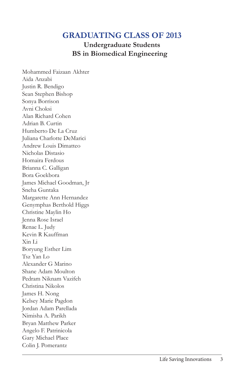**Undergraduate Students BS** in Biomedical Engineering

Mohammed Faizaan Akhter Aida Anzabi Justin R. Bendigo Sean Stephen Bishop Sonya Borrison Avni Choksi Alan Richard Cohen Adrian B. Curtin Humberto De La Cruz Iuliana Charlotte DeMarici Andrew Louis Dimatteo Nicholas Distasio Homaira Ferdous Brianna C. Galligan Bora Goekbora James Michael Goodman, Jr Sneha Guntaka Margarette Ann Hernandez Genymphas Berthold Higgs Christine Maylin Ho Jenna Rose Israel Renae L. Judy Kevin R Kauffman Xin Li Boryung Esther Lim  $Tsz$  Yan Lo Alexander G Marino Shane Adam Moulton Pedram Niknam Vazifeh Christina Nikolos James H. Nong Kelsey Marie Pagdon Jordan Adam Parellada Nimisha A. Parikh Bryan Matthew Parker Angelo F. Patrinicola Gary Michael Place Colin J. Pomerantz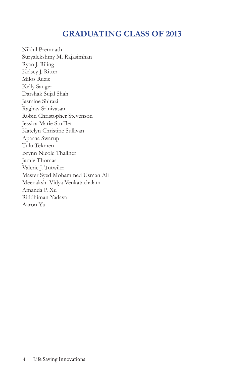Nikhil Premnath Suryalekshmy M. Rajasimhan Ryan J. Riling Kelsey J. Ritter Milos Ruzic Kelly Sanger Darshak Sujal Shah Jasmine Shirazi Raghav Srinivasan Robin Christopher Stevenson Jessica Marie Stufflet Katelyn Christine Sullivan Aparna Swarup Tulu Tekmen Brynn Nicole Thallner Jamie Thomas Valerie J. Tutwiler Master Syed Mohammed Usman Ali Meenakshi Vidya Venkatachalam Amanda P. Xu Riddhiman Yadava Aaron Yu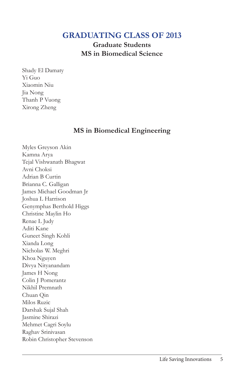**Graduate Students MS** in Biomedical Science

Shady El Damaty Yi Guo Xiaomin Niu Jia Nong Thanh P Vuong Xirong Zheng

#### **MS** in Biomedical Engineering

Myles Greyson Akin Kamna Arya Tejal Vishwanath Bhagwat Avni Choksi Adrian B Curtin Brianna C. Galligan James Michael Goodman Jr Joshua L Harrison Genymphas Berthold Higgs Christine Maylin Ho Renae L Judy Aditi Kane Guneet Singh Kohli Xianda Long Nicholas W. Meghri Khoa Nguyen Divya Nityanandam James H Nong Colin J Pomerantz Nikhil Premnath Chuan Oin Milos Ruzic Darshak Sujal Shah Jasmine Shirazi Mehmet Cagri Soylu Raghav Srinivasan Robin Christopher Stevenson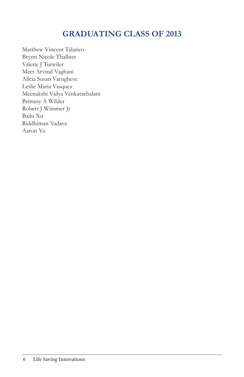Matthew Vincent Talarico Brynn Nicole Thallner Valerie J Tutwiler Meet Arvind Vaghani Alicia Susan Varughese Leslie Maria Vasquez Meenakshi Vidya Venkatachalam Brittany A Wilder Robert J Wimmer Jr Bailu Xu Riddhiman Yadava Aaron Yu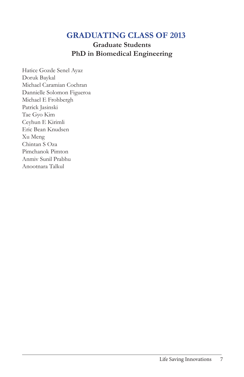**Graduate Students** PhD in Biomedical Engineering

Hatice Gozde Senel Ayaz Doruk Baykal Michael Caramian Cochran Dannielle Solomon Figueroa Michael E Frohbergh Patrick Jasinski Tae Gyo Kim Ceyhun E Kirimli Eric Bean Knudsen Xu Meng Chintan S Oza Pimchanok Pimton Anmiv Sunil Prabhu Anootnara Talkul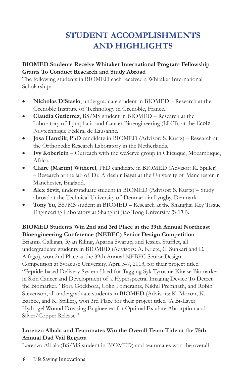# **STUDENT ACCOMPLISHMENTS AND HIGHLIGHTS**

#### **BIOMED Students Receive Whitaker International Program Fellowship Grants To Conduct Research and Study Abroad**

The following students in BIOMED each received a Whitaker International Scholarship:

- Nicholas DiStasio, undergraduate student in BIOMED Research at the  $\bullet$ Grenoble Institute of Technology in Grenoble, France.
- Claudia Gutierrez, BS/MS student in BIOMED Research at the Laboratory of Lymphatic and Cancer Bioengineering (LLCB) at the École Polytechnique Fédéral de Lausanne.
- Josa Hanzlik, PhD candidate in BIOMED (Advisor: S. Kurtz) Research at  $\bullet$ the Orthopedic Research Laboratory in the Netherlands.
- Ivy Koberlein Outreach with the weServe group in Chicuque, Mozambique,  $\bullet$ Africa.
- Claire (Martin) Witherel, PhD candidate in BIOMED (Advisor: K. Spiller) - Research at the lab of Dr. Ardeshir Bayat at the University of Manchester in Manchester, England.
- Alex Sevit, undergraduate student in BIOMED (Advisor: S. Kurtz) Study  $\bullet$ abroad at the Technical University of Denmark in Lyngby, Denmark.
- Tony Yu, BS/MS student in BIOMED Research at the Shanghai Key Tissue  $\bullet$ Engineering Laboratory at Shanghai Jiao Tong University (SJTU).

BIOMED Students Win 2nd and 3rd Place at the 39th Annual Northeast Bioengineering Conference (NEBEC) Senior Design Competition Brianna Galligan, Ryan Riling, Aparna Swarup, and Jessica Stufflet, all undergraduate students in BIOMED (Advisors: A. Kriete, C. Sunkari and D. Alfego), won 2nd Place at the 39th Annual NEBEC Senior Design Competition at Syracuse University, April 5-7, 2013, for their project titled "Peptide-based Delivery System Used for Tagging Syk Tyrosine Kinase Biomarker in Skin Cancer and Development of a Hyperspectral Imaging Device To Detect the Biomarker." Bora Goekbora, Colin Pomerantz, Nikhil Premnath, and Robin Stevenson, all undergraduate students in BIOMED (Advisors: K. Moxon, K. Barbee, and K. Spiller), won 3rd Place for their project titled "A Bi-Layer" Hydrogel Wound Dressing Engineered for Optimal Exudate Absorption and Silver/Copper Release."

#### Lorenzo Albala and Teammates Win the Overall Team Title at the 75th Annual Dad Vail Regatta

Lorenzo Albala (BS/MS student in BIOMED) and teammates won the overall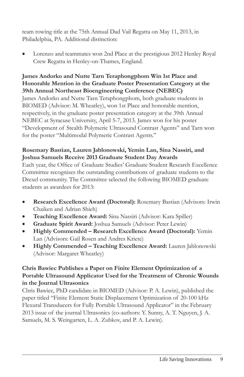team rowing title at the 75th Annual Dad Vail Regatta on May 11, 2013, in Philadelphia, PA. Additional distinction:

Lorenzo and teammates won 2nd Place at the prestigious 2012 Henley Royal Crew Regatta in Henley-on-Thames, England.

#### James Andorko and Nutte Tarn Teraphongphom Win 1st Place and Honorable Mention in the Graduate Poster Presentation Category at the 39th Annual Northeast Bioengineering Conference (NEBEC)

James Andorko and Nutte Tarn Teraphongphom, both graduate students in BIOMED (Advisor: M. Wheatley), won 1st Place and honorable mention, respectively, in the graduate poster presentation category at the 39th Annual NEBEC at Syracuse University, April 5-7, 2013. James won for his poster "Development of Stealth Polymeric Ultrasound Contrast Agents" and Tarn won for the poster "Multimodal Polymeric Contrast Agents."

#### Rosemary Bastian, Lauren Jablonowski, Yemin Lan, Sina Nassiri, and Joshua Samuels Receive 2013 Graduate Student Day Awards

Each year, the Office of Graduate Studies' Graduate Student Research Excellence Committee recognizes the outstanding contributions of graduate students to the Drexel community. The Committee selected the following BIOMED graduate students as awardees for 2013:

- Research Excellence Award (Doctoral): Rosemary Bastian (Advisors: Irwin  $\bullet$ Chaiken and Adrian Shieh)
- Teaching Excellence Award: Sina Nassiri (Advisor: Kara Spiller)
- Graduate Spirit Award: Joshua Samuels (Advisor: Peter Lewin)  $\bullet$
- Highly Commended Research Excellence Award (Doctoral): Yemin  $\bullet$ Lan (Advisors: Gail Rosen and Andres Kriete)
- Highly Commended Teaching Excellence Award: Lauren Jablonowski (Advisor: Margaret Wheatley)

#### Chris Bawiec Publishes a Paper on Finite Element Optimization of a Portable Ultrasound Applicator Used for the Treatment of Chronic Wounds in the Journal Ultrasonics

Chris Bawiec, PhD candidate in BIOMED (Advisor: P. A. Lewin), published the paper titled "Finite Element Static Displacement Optimization of 20-100 kHz Flexural Transducers for Fully Portable Ultrasound Applicator" in the February 2013 issue of the journal Ultrasonics (co-authors: Y. Sunny, A. T. Nguyen, J. A. Samuels, M. S. Weingarten, L. A. Zubkov, and P. A. Lewin).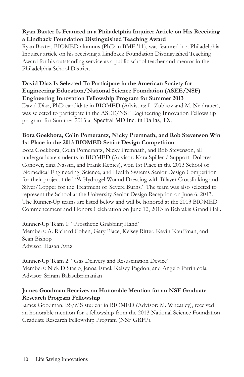#### Ryan Baxter Is Featured in a Philadelphia Inquirer Article on His Receiving a Lindback Foundation Distinguished Teaching Award

Ryan Baxter, BIOMED alumnus (PhD in BME '11), was featured in a Philadelphia Inquirer article on his receiving a Lindback Foundation Distinguished Teaching Award for his outstanding service as a public school teacher and mentor in the Philadelphia School District.

#### David Diaz Is Selected To Participate in the American Society for **Engineering Education/National Science Foundation (ASEE/NSF) Engineering Innovation Fellowship Program for Summer 2013**

David Diaz, PhD candidate in BIOMED (Advisors: L. Zubkov and M. Neidrauer), was selected to participate in the ASEE/NSF Engineering Innovation Fellowship program for Summer 2013 at Spectral MD Inc. in Dallas, TX.

#### Bora Goekbora, Colin Pomerantz, Nicky Premnath, and Rob Stevenson Win 1st Place in the 2013 BIOMED Senior Design Competition

Bora Goekbora, Colin Pomerantz, Nicky Premnath, and Rob Stevenson, all undergraduate students in BIOMED (Advisor: Kara Spiller / Support: Dolores Conover, Sina Nassiri, and Frank Kepics), won 1st Place in the 2013 School of Biomedical Engineering, Science, and Health Systems Senior Design Competition for their project titled "A Hydrogel Wound Dressing with Bilayer Crosslinking and Silver/Copper for the Treatment of Severe Burns." The team was also selected to  $\epsilon$  represent the School at the University Senior Design Reception on June 6, 2013. The Runner-Up teams are listed below and will be honored at the 2013 BIOMED Commencement and Honors Celebration on June 12, 2013 in Behrakis Grand Hall.

Runner-Up Team 1: "Prosthetic Grabbing Hand" Members: A. Richard Cohen, Gary Place, Kelsey Ritter, Kevin Kauffman, and Sean Bishop Advisor: Hasan Ayaz

Runner-Up Team 2: "Gas Delivery and Resuscitation Device" Members: Nick DiStasio, Jenna Israel, Kelsey Pagdon, and Angelo Patrinicola Advisor: Sriram Balasubramanian

#### James Goodman Receives an Honorable Mention for an NSF Graduate **Research Program Fellowship**

James Goodman, BS/MS student in BIOMED (Advisor: M. Wheatley), received an honorable mention for a fellowship from the 2013 National Science Foundation Graduate Research Fellowship Program (NSF GRFP).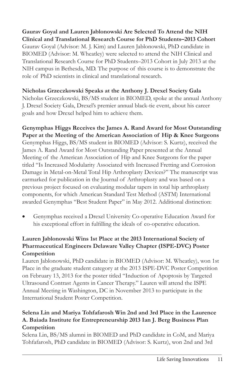#### Gaurav Goyal and Lauren Jablonowski Are Selected To Attend the NIH Clinical and Translational Research Course for PhD Students-2013 Cohort Gaurav Goyal (Advisor: M. J. Kim) and Lauren Jablonowski, PhD candidate in BIOMED (Advisor: M. Wheatley) were selected to attend the NIH Clinical and Translational Research Course for PhD Students-2013 Cohort in July 2013 at the NIH campus in Bethesda, MD. The purpose of this course is to demonstrate the role of PhD scientists in clinical and translational research.

#### Nicholas Grzeczkowski Speaks at the Anthony J. Drexel Society Gala

Nicholas Grzeczkowski, BS/MS student in BIOMED, spoke at the annual Anthony J. Drexel Society Gala, Drexel's premier annual black-tie event, about his career goals and how Drexel helped him to achieve them.

#### Genymphas Higgs Receives the James A. Rand Award for Most Outstanding Paper at the Meeting of the American Association of Hip & Knee Surgeons Genymphas Higgs, BS/MS student in BIOMED (Advisor: S. Kurtz), received the James A. Rand Award for Most Outstanding Paper presented at the Annual Meeting of the American Association of Hip and Knee Surgeons for the paper titled "Is Increased Modularity Associated with Increased Fretting and Corrosion Damage in Metal-on-Metal Total Hip Arthroplasty Devices?" The manuscript was earmarked for publication in the Journal of Arthroplasty and was based on a previous project focused on evaluating modular tapers in total hip arthroplasty components, for which American Standard Test Method (ASTM) International awarded Genymphas "Best Student Paper" in May 2012. Additional distinction:

Genymphas received a Drexel University Co-operative Education Award for his exceptional effort in fulfilling the ideals of co-operative education.

#### Lauren Jablonowski Wins 1st Place at the 2013 International Society of Pharmaceutical Engineers Delaware Valley Chapter (ISPE-DVC) Poster Competition

Lauren Jablonowski, PhD candidate in BIOMED (Advisor: M. Wheatley), won 1st Place in the graduate student category at the 2013 ISPE-DVC Poster Competition on February 13, 2013 for the poster titled "Induction of Apoptosis by Targeted Ultrasound Contrast Agents in Cancer Therapy." Lauren will attend the ISPE Annual Meeting in Washington, DC in November 2013 to participate in the International Student Poster Competition.

#### Selena Lin and Mariya Tohfafarosh Win 2nd and 3rd Place in the Laurence A. Baiada Institute for Entrepreneurship 2013 Ian J. Berg Business Plan Competition

Selena Lin, BS/MS alumni in BIOMED and PhD candidate in CoM, and Mariya Tohfafarosh, PhD candidate in BIOMED (Advisor: S. Kurtz), won 2nd and 3rd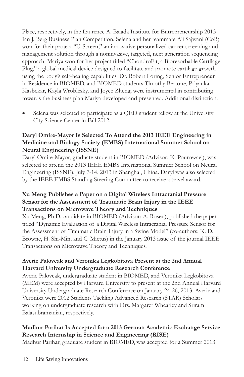Place, respectively, in the Laurence A. Baiada Institute for Entrepreneurship 2013 Ian J. Berg Business Plan Competition. Selena and her teammate Ali Sajwani (CoB) won for their project "U-Screen," an innovative personalized cancer screening and management solution through a noninvasive, targeted, next generation sequencing approach. Mariya won for her project titled "ChondroFit, a Bioresorbable Cartilage Plug," a global medical device designed to facilitate and promote cartilage growth using the body's self-healing capabilities. Dr. Robert Loring, Senior Entrepreneur in Residence in BIOMED, and BIOMED students Timothy Bertone, Priyanka Kasbekar, Kayla Wroblesky, and Joyce Zheng, were instrumental in contributing towards the business plan Mariya developed and presented. Additional distinction:

Selena was selected to participate as a QED student fellow at the University City Science Center in Fall 2012.

#### Daryl Omire-Mayor Is Selected To Attend the 2013 IEEE Engineering in Medicine and Biology Society (EMBS) International Summer School on **Neural Engineering (ISSNE)**

Daryl Omire-Mayor, graduate student in BIOMED (Advisor: K. Pourrezaei), was selected to attend the 2013 IEEE EMBS International Summer School on Neural Engineering (ISSNE), July 7-14, 2013 in Shanghai, China. Daryl was also selected by the IEEE EMBS Standing Steering Committee to receive a travel award.

#### Xu Meng Publishes a Paper on a Digital Wireless Intracranial Pressure Sensor for the Assessment of Traumatic Brain Injury in the IEEE **Transactions on Microwave Theory and Techniques**

Xu Meng, Ph.D. candidate in BIOMED (Advisor: A. Rosen), published the paper titled "Dynamic Evaluation of a Digital Wireless Intracranial Pressure Sensor for the Assessment of Traumatic Brain Injury in a Swine Model" (co-authors: K. D. Browne, H. Shi-Min, and C. Mietus) in the January 2013 issue of the journal IEEE Transactions on Microwave Theory and Techniques.

#### Averie Palovcak and Veronika Legkobitova Present at the 2nd Annual Harvard University Undergraduate Research Conference

Averie Palovcak, undergraduate student in BIOMED, and Veronika Legkobitova (MEM) were accepted by Harvard University to present at the 2nd Annual Harvard University Undergraduate Research Conference on January 24-26, 2013. Averie and Veronika were 2012 Students Tackling Advanced Research (STAR) Scholars working on undergraduate research with Drs. Margaret Wheatley and Sriram Balasubramanian, respectively.

#### Madhur Parihar Is Accepted for a 2013 German Academic Exchange Service Research Internship in Science and Engineering (RISE)

Madhur Parihar, graduate student in BIOMED, was accepted for a Summer 2013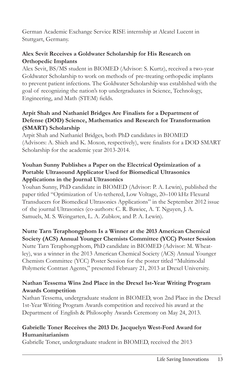German Academic Exchange Service RISE internship at Alcatel Lucent in Stuttgart, Germany.

#### Alex Sevit Receives a Goldwater Scholarship for His Research on **Orthopedic Implants**

Alex Sevit, BS/MS student in BIOMED (Advisor: S. Kurtz), received a two-year Goldwater Scholarship to work on methods of pre-treating orthopedic implants to prevent patient infections. The Goldwater Scholarship was established with the goal of recognizing the nation's top undergraduates in Science, Technology, Engineering, and Math (STEM) fields.

#### Arpit Shah and Nathaniel Bridges Are Finalists for a Department of Defense (DOD) Science, Mathematics and Research for Transformation (SMART) Scholarship

Arpit Shah and Nathaniel Bridges, both PhD candidates in BIOMED (Advisors: A. Shieh and K. Moxon, respectively), were finalists for a DOD SMART Scholarship for the academic year 2013-2014.

#### Youhan Sunny Publishes a Paper on the Electrical Optimization of a Portable Ultrasound Applicator Used for Biomedical Ultrasonics Applications in the Journal Ultrasonics

Youhan Sunny, PhD candidate in BIOMED (Advisor: P. A. Lewin), published the paper titled "Optimization of Un-tethered, Low Voltage, 20–100 kHz Flexural Transducers for Biomedical Ultrasonics Applications" in the September 2012 issue of the journal Ultrasonics (co-authors: C. R. Bawiec, A. T. Nguyen, J. A. Samuels, M. S. Weingarten, L. A. Zubkov, and P. A. Lewin).

#### Nutte Tarn Teraphongphom Is a Winner at the 2013 American Chemical Society (ACS) Annual Younger Chemists Committee (YCC) Poster Session

Nutte Tarn Teraphongphom, PhD candidate in BIOMED (Advisor: M. Wheatley), was a winner in the 2013 American Chemical Society (ACS) Annual Younger Chemists Committee (YCC) Poster Session for the poster titled "Multimodal Polymeric Contrast Agents," presented February 21, 2013 at Drexel University.

#### Nathan Tessema Wins 2nd Place in the Drexel 1st-Year Writing Program **Awards Competition**

Nathan Tessema, undergraduate student in BIOMED, won 2nd Place in the Drexel 1st-Year Writing Program Awards competition and received his award at the Department of English & Philosophy Awards Ceremony on May 24, 2013.

#### Gabrielle Toner Receives the 2013 Dr. Jacquelyn West-Ford Award for Humanitarianism

Gabrielle Toner, undergraduate student in BIOMED, received the 2013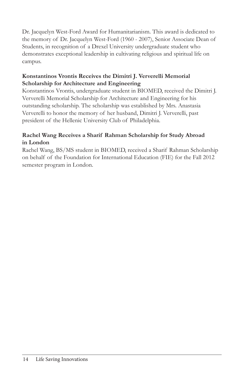Dr. Jacquelyn West-Ford Award for Humanitarianism. This award is dedicated to the memory of Dr. Jacquelyn West-Ford (1960 - 2007), Senior Associate Dean of Students, in recognition of a Drexel University undergraduate student who demonstrates exceptional leadership in cultivating religious and spiritual life on campus.

#### Konstantinos Vrontis Receives the Dimitri J. Ververelli Memorial Scholarship for Architecture and Engineering

Konstantinos Vrontis, undergraduate student in BIOMED, received the Dimitri J. Ververelli Memorial Scholarship for Architecture and Engineering for his outstanding scholarship. The scholarship was established by Mrs. Anastasia Ververelli to honor the memory of her husband, Dimitri J. Ververelli, past president of the Hellenic University Club of Philadelphia.

#### Rachel Wang Receives a Sharif Rahman Scholarship for Study Abroad in London

Rachel Wang, BS/MS student in BIOMED, received a Sharif Rahman Scholarship on behalf of the Foundation for International Education (FIE) for the Fall 2012 semester program in London.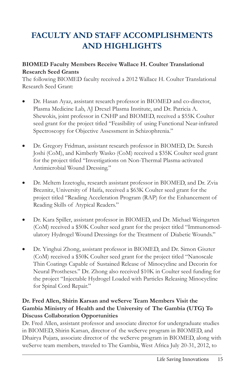# **FACULTY AND STAFF ACCOMPLISHMENTS AND HIGHLIGHTS**

#### **BIOMED Faculty Members Receive Wallace H. Coulter Translational Research Seed Grants**

The following BIOMED faculty received a 2012 Wallace H. Coulter Translational Research Seed Grant:

- Dr. Hasan Ayaz, assistant research professor in BIOMED and co-director, Plasma Medicine Lab, AJ Drexel Plasma Institute, and Dr. Patricia A. Shewokis, joint professor in CNHP and BIOMED, received a \$55K Coulter seed grant for the project titled "Feasibility of using Functional Near-infrared Spectroscopy for Objective Assessment in Schizophrenia."
- Dr. Gregory Fridman, assistant research professor in BIOMED, Dr. Suresh  $\bullet$ Joshi (CoM), and Kimberly Wasko (CoM) received a \$35K Coulter seed grant for the project titled "Investigations on Non-Thermal Plasma-activated Antimicrobial Wound Dressing."
- Dr. Meltem Izzetoglu, research assistant professor in BIOMED, and Dr. Zvia Breznitz, University of Haifa, received a \$63K Coulter seed grant for the project titled "Reading Acceleration Program (RAP) for the Enhancement of Reading Skills of Atypical Readers."
- Dr. Kara Spiller, assistant professor in BIOMED, and Dr. Michael Weingarten  $\bullet$ (CoM) received a \$50K Coulter seed grant for the project titled "Immunomodulatory Hydrogel Wound Dressings for the Treatment of Diabetic Wounds."
- Dr. Yinghui Zhong, assistant professor in BIOMED, and Dr. Simon Giszter  $\bullet$ (CoM) received a \$50K Coulter seed grant for the project titled "Nanoscale" Thin Coatings Capable of Sustained Release of Minocycline and Decorin for Neural Prostheses." Dr. Zhong also received \$10K in Coulter seed funding for the project "Injectable Hydrogel Loaded with Particles Releasing Minocycline for Spinal Cord Repair."

#### Dr. Fred Allen, Shirin Karsan and weServe Team Members Visit the Gambia Ministry of Health and the University of The Gambia (UTG) To **Discuss Collaboration Opportunities**

Dr. Fred Allen, assistant professor and associate director for undergraduate studies in BIOMED, Shirin Karsan, director of the weServe program in BIOMED, and Dhairya Pujara, associate director of the weServe program in BIOMED, along with weServe team members, traveled to The Gambia, West Africa July 20-31, 2012, to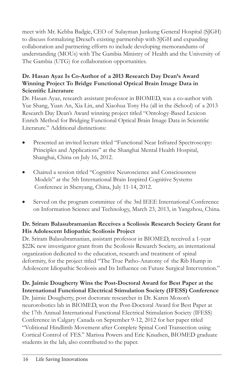meet with Mr. Kebba Badgie, CEO of Sulayman Junkung General Hospital (SJGH) to discuss formalizing Drexel's existing partnership with SJGH and expanding collaboration and partnering efforts to include developing memorandums of understanding (MOUs) with The Gambia Ministry of Health and the University of The Gambia (UTG) for collaboration opportunities.

#### Dr. Hasan Ayaz Is Co-Author of a 2013 Research Day Dean's Award Winning Project To Bridge Functional Optical Brain Image Data in Scientific Literature

Dr. Hasan Ayaz, research assistant professor in BIOMED, was a co-author with Yue Shang, Yuan An, Xia Lin, and Xiaohua Tony Hu (all in the iSchool) of a 2013 Research Day Dean's Award winning project titled "Ontology-Based Lexicon Enrich Method for Bridging Functional Optical Brain Image Data in Scientific Literature." Additional distinctions:

- Presented an invited lecture titled "Functional Near Infrared Spectroscopy: Principles and Applications" at the Shanghai Mental Health Hospital, Shanghai, China on July 16, 2012.
- Chaired a session titled "Cognitive Neuroscience and Consciousness" Models" at the 5th International Brain Inspired Cognitive Systems Conference in Shenyang, China, July 11-14, 2012.
- Served on the program committee of the 3rd IEEE International Conference on Information Science and Technology, March 23, 2013, in Yangzhou, China.

#### Dr. Sriram Balasubramanian Receives a Scoliosis Research Society Grant for His Adolescent Idiopathic Scoliosis Project

Dr. Sriram Balasubramanian, assistant professor in BIOMED, received a 1-year \$22K new investigator grant from the Scoliosis Research Society, an international organization dedicated to the education, research and treatment of spinal deformity, for the project titled "The True Patho-Anatomy of the Rib Hump in Adolescent Idiopathic Scoliosis and Its Influence on Future Surgical Intervention."

#### Dr. Jaimie Dougherty Wins the Post-Doctoral Award for Best Paper at the **International Functional Electrical Stimulation Society (IFESS) Conference**

Dr. Jaimie Dougherty, post doctorate researcher in Dr. Karen Moxon's neurorobotics lab in BIOMED, won the Post-Doctoral Award for Best Paper at the 17th Annual International Functional Electrical Stimulation Society (IFESS) Conference in Calgary Canada on September 9-12, 2012 for her paper titled "Volitional Hindlimb Movement after Complete Spinal Cord Transection using Cortical Control of FES." Marissa Powers and Eric Knudsen, BIOMED graduate students in the lab, also contributed to the paper.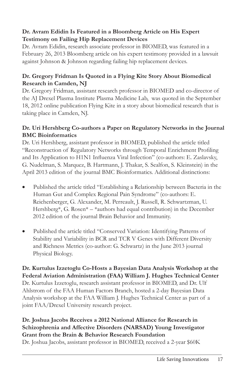#### Dr. Avram Edidin Is Featured in a Bloomberg Article on His Expert **Testimony on Failing Hip Replacement Devices**

Dr. Avram Edidin, research associate professor in BIOMED, was featured in a February 26, 2013 Bloomberg article on his expert testimony provided in a lawsuit against Johnson & Johnson regarding failing hip replacement devices.

#### Dr. Gregory Fridman Is Quoted in a Flying Kite Story About Biomedical Research in Camden, NJ

Dr. Gregory Fridman, assistant research professor in BIOMED and co-director of the AJ Drexel Plasma Institute Plasma Medicine Lab, was quoted in the September 18, 2012 online publication Flying Kite in a story about biomedical research that is taking place in Camden, NJ.

#### Dr. Uri Hershberg Co-authors a Paper on Regulatory Networks in the Journal **BMC** Bioinformatics

Dr. Uri Hershberg, assistant professor in BIOMED, published the article titled "Reconstruction of Regulatory Networks through Temporal Enrichment Profiling and Its Application to H1N1 Influenza Viral Infection" (co-authors: E. Zaslavsky, G. Nudelman, S. Marquez, B. Hartmann, J. Thakar, S. Sealfon, S. Kleinstein) in the April 2013 edition of the journal BMC Bioinformatics. Additional distinctions:

- Published the article titled "Establishing a Relationship between Bacteria in the Human Gut and Complex Regional Pain Syndrome" (co-authors: E. Reichenberger, G. Alexander, M. Perreault, J. Russell, R. Schwartzman, U. Hershberg\*, G. Rosen\*  $-$  \*authors had equal contribution) in the December 2012 edition of the journal Brain Behavior and Immunity.
- Published the article titled "Conserved Variation: Identifying Patterns of  $\bullet$ Stability and Variability in BCR and TCR V Genes with Different Diversity and Richness Metrics (co-author: G. Schwartz) in the June 2013 journal Physical Biology.

Dr. Kurtulus Izzetoglu Co-Hosts a Bayesian Data Analysis Workshop at the Federal Aviation Administration (FAA) William J. Hughes Technical Center Dr. Kurtulus Izzetoglu, research assistant professor in BIOMED, and Dr. Ulf Ahlstrom of the FAA Human Factors Branch, hosted a 2-day Bayesian Data Analysis workshop at the FAA William J. Hughes Technical Center as part of a joint FAA/Drexel University research project.

#### Dr. Joshua Jacobs Receives a 2012 National Alliance for Research in Schizophrenia and Affective Disorders (NARSAD) Young Investigator Grant from the Brain & Behavior Research Foundation

Dr. Joshua Jacobs, assistant professor in BIOMED, received a 2-year \$60K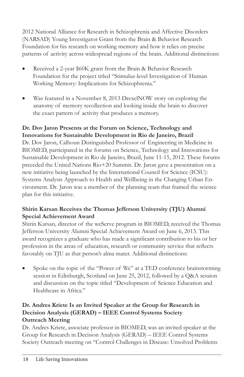2012 National Alliance for Research in Schizophrenia and Affective Disorders (NARSAD) Young Investigator Grant from the Brain & Behavior Research Foundation for his research on working memory and how it relies on precise patterns of activity across widespread regions of the brain. Additional distinctions:

- Received a 2-year \$60K grant from the Brain & Behavior Research Foundation for the project titled "Stimulus-level Investigation of Human Working Memory: Implications for Schizophrenia."
- $\bullet$ Was featured in a November 8, 2013 DrexelNOW story on exploring the anatomy of memory recollection and looking inside the brain to discover the exact pattern of activity that produces a memory.

#### Dr. Dov Jaron Presents at the Forum on Science, Technology and Innovations for Sustainable Development in Rio de Janeiro, Brazil

Dr. Dov Jaron, Calhoun Distinguished Professor of Engineering in Medicine in BIOMED, participated in the forums on Science, Technology and Innovations for Sustainable Development in Rio de Janeiro, Brazil, June 11-15, 2012. These forums preceded the United Nations Rio+20 Summit. Dr. Jaron gave a presentation on a new initiative being launched by the International Council for Science (ICSU): Systems Analysis Approach to Health and Wellbeing in the Changing Urban Environment. Dr. Jaron was a member of the planning team that framed the science plan for this initiative.

#### Shirin Karsan Receives the Thomas Jefferson University (TJU) Alumni **Special Achievement Award**

Shirin Karsan, director of the weServe program in BIOMED, received the Thomas Jefferson University Alumni Special Achievement Award on June 6, 2013. This award recognizes a graduate who has made a significant contribution to his or her profession in the areas of education, research or community service that reflects favorably on TJU as that person's alma mater. Additional distinctions:

Spoke on the topic of the "Power of We" at a TED conference brainstorming session in Edinburgh, Scotland on June 25, 2012, followed by a Q&A session and discussion on the topic titled "Development of Science Education and Healthcare in Africa."

#### Dr. Andres Kriete Is an Invited Speaker at the Group for Research in Decision Analysis (GERAD) - IEEE Control Systems Society **Outreach Meeting**

Dr. Andres Kriete, associate professor in BIOMED, was an invited speaker at the Group for Research in Decision Analysis (GERAD) - IEEE Control Systems Society Outreach meeting on "Control Challenges in Disease: Unsolved Problems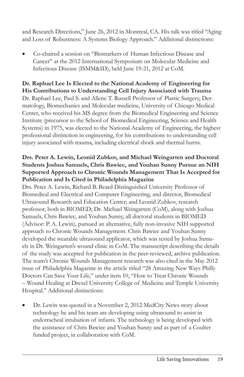and Research Directions," June 26, 2012 in Montreal, CA. His talk was titled "Aging and Loss of Robustness: A Systems Biology Approach." Additional distinctions:

Co-chaired a session on "Biomarkers of Human Infectious Disease and Cancer" at the 2012 International Symposium on Molecular Medicine and Infectious Disease (ISMM&ID), held June 19-21, 2012 at CoM.

#### Dr. Raphael Lee Is Elected to the National Academy of Engineering for His Contributions to Understanding Cell Injury Associated with Trauma Dr. Raphael Lee, Paul S. and Allene T. Russell Professor of Plastic Surgery, Dermatology, Biomechanics and Molecular medicine, University of Chicago Medical

Center, who received his MS degree from the Biomedical Engineering and Science Institute (precursor to the School of Biomedical Engineering, Science and Health Systems) in 1975, was elected to the National Academy of Engineering, the highest professional distinction in engineering, for his contributions to understanding cell injury associated with trauma, including electrical shock and thermal burns.

#### Drs. Peter A. Lewin, Leonid Zubkov, and Michael Weingarten and Doctoral Students Joshua Samuels, Chris Bawiec, and Youhan Sunny Pursue an NIH Supported Approach to Chronic Wounds Management That Is Accepted for Publication and Is Cited in Philadelphia Magazine

Drs. Peter A. Lewin, Richard B. Beard Distinguished University Professor of Biomedical and Electrical and Computer Engineering, and director, Biomedical Ultrasound Research and Education Center; and Leonid Zubkov, research professor, both in BIOMED; Dr. Michael Weingarten (CoM), along with Joshua Samuels, Chris Bawiec, and Youhan Sunny, all doctoral students in BIOMED (Advisor: P. A. Lewin), pursued an alternative, fully non-invasive NIH supported approach to Chronic Wounds Management. Chris Bawiec and Youhan Sunny developed the wearable ultrasound applicator, which was tested by Joshua Samuels in Dr. Weingarten's wound clinic in CoM. The manuscript describing the details of the study was accepted for publication in the peer-reviewed, archive publication. The team's Chronic Wounds Management research was also cited in the May 2012 issue of Philadelphia Magazine in the article titled "28 Amazing New Ways Philly Doctors Can Save Your Life," under item 10, "How to Treat Chronic Wounds - Wound Healing at Drexel University College of Medicine and Temple University Hospital." Additional distinctions:

Dr. Lewin was quoted in a November 2, 2012 MedCity News story about technology he and his team are developing using ultrasound to assist in endotracheal intubation of infants. The technology is being developed with the assistance of Chris Bawiec and Youhan Sunny and as part of a Coulter funded project, in collaboration with CoM.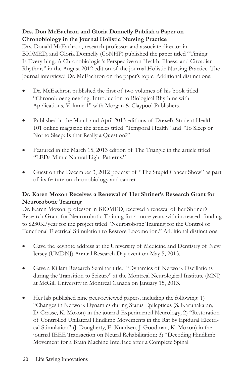#### Drs. Don McEachron and Gloria Donnelly Publish a Paper on Chronobiology in the Journal Holistic Nursing Practice

Drs. Donald McEachron, research professor and associate director in BIOMED, and Gloria Donnelly (CoNHP) published the paper titled "Timing Is Everything: A Chronobiologist's Perspective on Health, Illness, and Circadian Rhythms" in the August 2012 edition of the journal Holistic Nursing Practice. The journal interviewd Dr. McEachron on the paper's topic. Additional distinctions:

- Dr. McEachron published the first of two volumes of his book titled "Chronobioengineering: Introduction to Biological Rhythms with Applications, Volume 1" with Morgan & Claypool Publishers.
- Published in the March and April 2013 editions of Drexel's Student Health 101 online magazine the articles titled "Temporal Health" and "To Sleep or Not to Sleep: Is that Really a Question?"
- Featured in the March 15, 2013 edition of The Triangle in the article titled "LEDs Mimic Natural Light Patterns."
- Guest on the December 3, 2012 podcast of "The Stupid Cancer Show" as part of its feature on chronobiology and cancer.

#### Dr. Karen Moxon Receives a Renewal of Her Shriner's Research Grant for **Neurorobotic Training**

Dr. Karen Moxon, professor in BIOMED, received a renewal of her Shriner's Research Grant for Neurorobotic Training for 4 more years with increased funding to \$230K/year for the project titled "Neurorobotic Training for the Control of Functional Electrical Stimulation to Restore Locomotion." Additional distinctions:

- Gave the keynote address at the University of Medicine and Dentistry of New Jersey (UMDNJ) Annual Research Day event on May 5, 2013.
- Gave a Killam Research Seminar titled "Dynamics of Network Oscillations"  $\bullet$ during the Transition to Seizure" at the Montreal Neurological Institute (MNI) at McGill University in Montreal Canada on January 15, 2013.
- Her lab published nine peer-reviewed papers, including the following: 1) "Changes in Network Dynamics during Status Epilepticus (S. Karunakaran, D. Grasse, K. Moxon) in the journal Experimental Neurology; 2) "Restoration of Controlled Unilateral Hindlimb Movements in the Rat by Epidural Electrical Stimulation" (J. Dougherty, E. Knudsen, J. Goodman, K. Moxon) in the journal IEEE Transaction on Neural Rehabilitation; 3) "Decoding Hindlimb Movement for a Brain Machine Interface after a Complete Spinal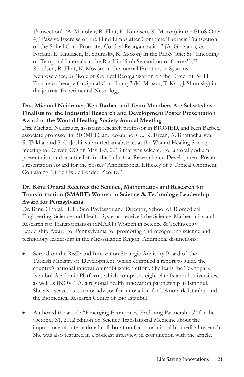Transection" (A. Manohar, R. Flint, E. Knudsen, K. Moxon) in the PLoS One; 4) "Passive Exercise of the Hind Limbs after Complete Thoracic Transection of the Spinal Cord Promotes Cortical Reorganization" (A. Graziano, G. Foffani, E. Knudsen, E. Shumsky, K. Moxon) in the PLoS One; 5) "Encoding of Temporal Intervals in the Rat Hindlimb Sensorimotor Cortex" (E. Knudsen, R. Flint, K. Moxon) in the journal Frontiers in Systems Neuroscience; 6) "Role of Cortical Reorganization on the Effect of 5-HT Pharmacotherapy for Spinal Cord Injury" (K. Moxon, T. Kao, J. Shumsky) in the journal Experimental Neurology.

#### Drs. Michael Neidrauer, Ken Barbee and Team Members Are Selected as **Finalists for the Industrial Research and Development Poster Presentation** Award at the Wound Healing Society Annual Meeting

Drs. Michael Neidrauer, assistant research professor in BIOMED, and Ken Barbee, associate professor in BIOMED, and co-authors U.K. Ercan, A. Bhattacharyya, R. Trikha, and S. G. Joshi, submitted an abstract at the Wound Healing Society meeting in Denver, CO on May 1-5, 2013 that was selected for an oral podium presentation and as a finalist for the Industrial Research and Development Poster Presentation Award for the poster "Antimicrobial Efficacy of a Topical Ointment Containing Nitric Oxide Loaded Zeolite."

#### Dr. Banu Onaral Receives the Science, Mathematics and Research for Transformation (SMART) Women in Science & Technology Leadership **Award for Pennsylvania**

Dr. Banu Onaral, H. H. Sun Professor and Director, School of Biomedical Engineering, Science and Health Systems, received the Science, Mathematics and Research for Transformation (SMART) Women in Science & Technology Leadership Award for Pennsylvania for promoting and recognizing science and technology leadership in the Mid-Atlantic Region. Additional distinctions:

- Served on the R&D and Innovation Strategic Advisory Board of the Turkish Ministry of Development, which compiled a report to guide the country's national innovation mobilization effort. She leads the Teknopark Istanbul-Academic Platform, which comprises eight elite Istanbul universities, as well as INOVITA, a regional health innovation partnership in Istanbul. She also serves as a senior advisor for innovation for Teknopark Istanbul and the Biomedical Research Center of Bio Istanbul.
- Authored the article "Emerging Economies, Enduring Partnerships" for the October 31, 2012 edition of Science Translational Medicine about the importance of international collaboration for translational biomedical research. She was also featured in a podcast interview in conjunction with the article.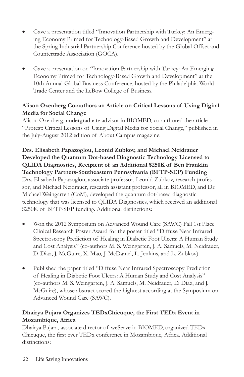- Gave a presentation titled "Innovation Partnership with Turkey: An Emerging Economy Primed for Technology-Based Growth and Development" at the Spring Industrial Partnership Conference hosted by the Global Offset and Countertrade Association (GOCA).
- Gave a presentation on "Innovation Partnership with Turkey: An Emerging Economy Primed for Technology-Based Growth and Development" at the 10th Annual Global Business Conference, hosted by the Philadelphia World Trade Center and the LeBow College of Business.

#### Alison Oxenberg Co-authors an Article on Critical Lessons of Using Digital **Media for Social Change**

Alison Oxenberg, undergraduate advisor in BIOMED, co-authored the article "Protest: Critical Lessons of Using Digital Media for Social Change," published in the July-August 2012 edition of About Campus magazine.

Drs. Elisabeth Papazoglou, Leonid Zubkov, and Michael Neidrauer Developed the Quantum Dot-based Diagnostic Technology Licensed to QLIDA Diagnostics, Recipient of an Additional \$250K of Ben Franklin Technology Partners-Southeastern Pennsylvania (BFTP-SEP) Funding Drs. Elisabeth Papazoglou, associate professor, Leonid Zubkov, research professor, and Michael Neidrauer, research assistant professor, all in BIOMED, and Dr. Michael Weingarten (CoM), developed the quantum dot-based diagnostic technology that was licensed to QLIDA Diagnostics, which received an additional \$250K of BFTP-SEP funding. Additional distinctions:

- Won the 2012 Symposium on Advanced Wound Care (SAWC) Fall 1st Place Clinical Research Poster Award for the poster titled "Diffuse Near Infrared Spectroscopy Prediction of Healing in Diabetic Foot Ulcers: A Human Study and Cost Analysis" (co-authors M. S. Weingarten, J. A. Samuels, M. Neidrauer, D. Diaz, J. McGuire, X. Mao, J. McDaniel, L. Jenkins, and L. Zubkov).
- Published the paper titled "Diffuse Near Infrared Spectroscopy Prediction of Healing in Diabetic Foot Ulcers: A Human Study and Cost Analysis" (co-authors M. S. Weingarten, J. A. Samuels, M. Neidrauer, D. Diaz, and J. McGuire), whose abstract scored the hightest according at the Symposium on Advanced Wound Care (SAWC).

#### Dhairya Pujara Organizes TEDxChicuque, the First TEDx Event in Mozambique, Africa

Dhairya Pujara, associate director of weServe in BIOMED, organized TEDx-Chicuque, the first ever TEDx conference in Mozambique, Africa. Additional distinctions: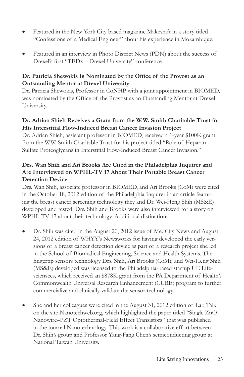- Featured in the New York City based magazine Makeshift in a story titled "Confessions of a Medical Engineer" about his experience in Mozambique.
- Featured in an interview in Photo District News (PDN) about the success of Drexel's first "TEDx - Drexel University" conference.

#### Dr. Patricia Shewokis Is Nominated by the Office of the Provost as an **Outstanding Mentor at Drexel University**

Dr. Patricia Shewokis, Professor in CoNHP with a joint appointment in BIOMED, was nominated by the Office of the Provost as an Outstanding Mentor at Drexel University.

#### Dr. Adrian Shieh Receives a Grant from the W.W. Smith Charitable Trust for His Interstitial Flow-Induced Breast Cancer Invasion Project

Dr. Adrian Shieh, assistant professor in BIOMED, received a 1-year \$100K grant from the W.W. Smith Charitable Trust for his project titled "Role of Heparan" Sulfate Proteoglycans in Interstitial Flow-Induced Breast Cancer Invasion."

#### Drs. Wan Shih and Ari Brooks Are Cited in the Philadelphia Inquirer and Are Interviewed on WPHL-TV 17 About Their Portable Breast Cancer **Detection Device**

Drs. Wan Shih, associate professor in BIOMED, and Ari Brooks (CoM) were cited in the October 18, 2012 edition of the Philadelphia Inquirer in an article featuring the breast cancer screening technology they and Dr. Wei-Heng Shih (MS&E) developed and tested. Drs. Shih and Brooks were also interviewed for a story on WPHL-TV 17 about their technology. Additional distinctions:

- Dr. Shih was cited in the August 20, 2012 issue of MedCity News and August 24, 2012 edition of WHYY's Newsworks for having developed the early versions of a breast cancer detection device as part of a research project she led in the School of Biomedical Engineering, Science and Health Systems. The fingertip sensors technology Drs. Shih, Ari Brooks (CoM), and Wei-Heng Shih (MS&E) developed was licensed to the Philadelphia-based startup UE Lifesciensces, which received an \$878K grant from the PA Department of Health's Commonwealth Universal Research Enhancement (CURE) program to further commercialize and clinically validate the sensor technology.
- She and her colleagues were cited in the August 31, 2012 edition of Lab Talk on the site Nanotechweb.org, which highlighted the paper titled "Single ZnO Nanowire-PZT Optothermal-Field Effect Transistors" that was published in the journal Nanotechnology. This work is a collaborative effort between Dr. Shih's group and Professor Yang-Fang Chen's semiconducting group at National Taiwan University.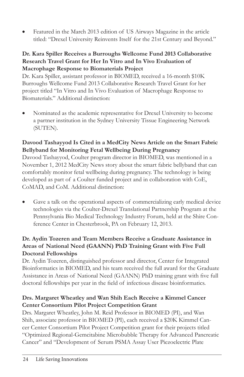Featured in the March 2013 edition of US Airways Magazine in the article titled: "Drexel University Reinvents Itself for the 21st Century and Beyond."

#### Dr. Kara Spiller Receives a Burroughs Wellcome Fund 2013 Collaborative Research Travel Grant for Her In Vitro and In Vivo Evaluation of Macrophage Response to Biomaterials Project

Dr. Kara Spiller, assistant professor in BIOMED, received a 16-month \$10K Burroughs Wellcome Fund 2013 Collaborative Research Travel Grant for her project titled "In Vitro and In Vivo Evaluation of Macrophage Response to Biomaterials." Additional distinction:

Nominated as the academic representative for Drexel University to become a partner institution in the Sydney University Tissue Engineering Network (SUTEN).

#### Davood Tashayyod Is Cited in a MedCity News Article on the Smart Fabric Bellyband for Monitoring Fetal Wellbeing During Pregnancy

Davood Tashayyod, Coulter program director in BIOMED, was mentioned in a November 1, 2012 MedCity News story about the smart fabric bellyband that can comfortably monitor fetal wellbeing during pregnancy. The technology is being developed as part of a Coulter funded project and in collaboration with CoE, CoMAD, and CoM. Additional distinction:

Gave a talk on the operational aspects of commercializing early medical device technologies via the Coulter-Drexel Translational Partnership Program at the Pennsylvania Bio Medical Technology Industry Forum, held at the Shire Conference Center in Chesterbrook, PA on February 12, 2013.

#### Dr. Aydin Tozeren and Team Members Receive a Graduate Assistance in Areas of National Need (GAANN) PhD Training Grant with Five Full **Doctoral Fellowships**

Dr. Aydin Tozeren, distinguished professor and director, Center for Integrated Bioinformatics in BIOMED, and his team received the full award for the Graduate Assistance in Areas of National Need (GAANN) PhD training grant with five full doctoral fellowships per year in the field of infectious disease bioinformatics.

#### Drs. Margaret Wheatley and Wan Shih Each Receive a Kimmel Cancer **Center Consortium Pilot Project Competition Grant**

Drs. Margaret Wheatley, John M. Reid Professor in BIOMED (PI), and Wan Shih, associate professor in BIOMED (PI), each received a \$20K Kimmel Cancer Center Consortium Pilot Project Competition grant for their projects titled "Optimized Regional-Gemcitabine Microbubble Therapy for Advanced Pancreatic Cancer" and "Development of Serum PSMA Assay User Piezoelectric Plate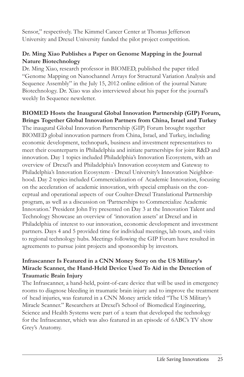Sensor," respectively. The Kimmel Cancer Center at Thomas Jefferson University and Drexel University funded the pilot project competition.

#### Dr. Ming Xiao Publishes a Paper on Genome Mapping in the Journal **Nature Biotechnology**

Dr. Ming Xiao, research professor in BIOMED, published the paper titled "Genome Mapping on Nanochannel Arrays for Structural Variation Analysis and Sequence Assembly" in the July 15, 2012 online edition of the journal Nature Biotechnology. Dr. Xiao was also interviewed about his paper for the journal's weekly In Sequence newsletter.

#### BIOMED Hosts the Inaugural Global Innovation Partnership (GIP) Forum, Brings Together Global Innovation Partners from China, Israel and Turkey

The inaugural Global Innovation Partnership (GIP) Forum brought together BIOMED global innovation partners from China, Israel, and Turkey, including economic development, technopark, business and investment representatives to meet their counterparts in Philadelphia and initiate partnerships for joint R&D and innovation. Day 1 topics included Philadelphia's Innovation Ecosystem, with an overview of Drexel's and Philadelphia's Innovation ecosystem and Gateway to Philadelphia's Innovation Ecosystem - Drexel University's Innovation Neighborhood. Day 2 topics included Commercialization of Academic Innovation, focusing on the acceleration of academic innovation, with special emphasis on the conceptual and operational aspects of our Coulter-Drexel Translational Partnership program, as well as a discussion on 'Partnerships to Commercialize Academic Innovation.' President John Fry presented on Day 3 at the Innovation Talent and Technology Showcase an overview of 'innovation assets' at Drexel and in Philadelphia of interest to our innovation, economic development and investment partners. Days 4 and 5 provided time for individual meetings, lab tours, and visits to regional technology hubs. Meetings following the GIP Forum have resulted in agreements to pursue joint projects and sponsorship by investors.

#### Infrascanner Is Featured in a CNN Money Story on the US Military's Miracle Scanner, the Hand-Held Device Used To Aid in the Detection of Traumatic Brain Injury

The Infrascanner, a hand-held, point-of-care device that will be used in emergency rooms to diagnose bleeding in traumatic brain injury and to improve the treatment of head injuries, was featured in a CNN Money article titled "The US Military's Miracle Scanner." Researchers at Drexel's School of Biomedical Engineering, Science and Health Systems were part of a team that developed the technology for the Infrascanner, which was also featured in an episode of 6ABC's TV show Grey's Anatomy.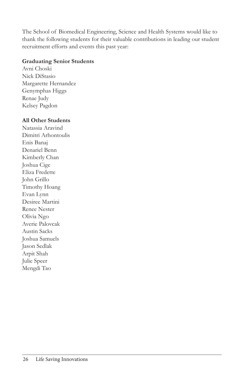The School of Biomedical Engineering, Science and Health Systems would like to thank the following students for their valuable contributions in leading our student recruitment efforts and events this past year:

#### **Graduating Senior Students**

Avni Choski Nick DiStasio Margarette Hernandez Genymphas Higgs Renae Judy Kelsey Pagdon

#### **All Other Students**

Natassia Aravind Dimitri Arhontoulis Enis Banaj Denariel Benn Kimberly Chan Joshua Cige Eliza Fredette John Grillo Timothy Hoang Evan Lynn Desiree Martini Renee Nester Olivia Ngo Averie Palovcak **Austin Sacks** Joshua Samuels Jason Sedlak Arpit Shah Julie Speer Mengdi Tao